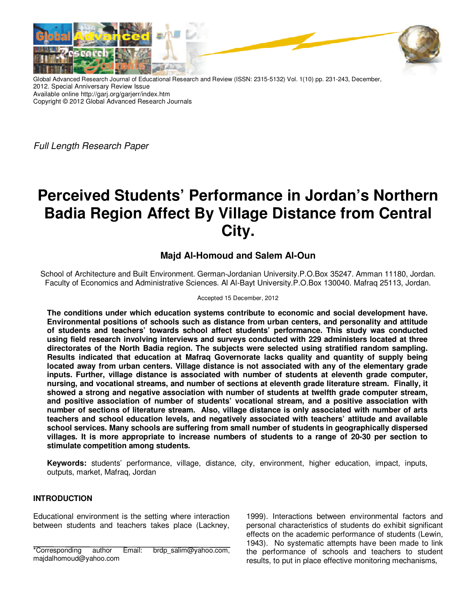

Global Advanced Research Journal of Educational Research and Review (ISSN: 2315-5132) Vol. 1(10) pp. 231-243, December, 2012. Special Anniversary Review Issue Available online http://garj.org/garjerr/index.htm Copyright © 2012 Global Advanced Research Journals

Full Length Research Paper

# **Perceived Students' Performance in Jordan's Northern Badia Region Affect By Village Distance from Central City.**

# **Majd Al-Homoud and Salem Al-Oun**

School of Architecture and Built Environment. German-Jordanian University.P.O.Box 35247. Amman 11180, Jordan. Faculty of Economics and Administrative Sciences. Al Al-Bayt University.P.O.Box 130040. Mafraq 25113, Jordan.

#### Accepted 15 December, 2012

**The conditions under which education systems contribute to economic and social development have. Environmental positions of schools such as distance from urban centers, and personality and attitude of students and teachers' towards school affect students' performance. This study was conducted using field research involving interviews and surveys conducted with 229 administers located at three directorates of the North Badia region. The subjects were selected using stratified random sampling. Results indicated that education at Mafraq Governorate lacks quality and quantity of supply being located away from urban centers. Village distance is not associated with any of the elementary grade inputs. Further, village distance is associated with number of students at eleventh grade computer, nursing, and vocational streams, and number of sections at eleventh grade literature stream. Finally, it showed a strong and negative association with number of students at twelfth grade computer stream, and positive association of number of students' vocational stream, and a positive association with number of sections of literature stream. Also, village distance is only associated with number of arts teachers and school education levels, and negatively associated with teachers' attitude and available school services. Many schools are suffering from small number of students in geographically dispersed villages. It is more appropriate to increase numbers of students to a range of 20-30 per section to stimulate competition among students.** 

**Keywords:** students' performance, village, distance, city, environment, higher education, impact, inputs, outputs, market, Mafraq, Jordan

#### **INTRODUCTION**

Educational environment is the setting where interaction between students and teachers takes place (Lackney,

1999). Interactions between environmental factors and personal characteristics of students do exhibit significant effects on the academic performance of students (Lewin, 1943). No systematic attempts have been made to link the performance of schools and teachers to student results, to put in place effective monitoring mechanisms,

<sup>\*</sup>Corresponding author Email: brdp\_salim@yahoo.com, majdalhomoud@yahoo.com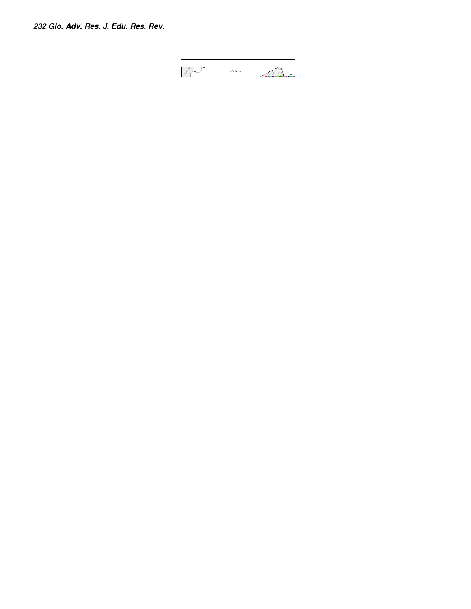**232 Glo. Adv. Res. J. Edu. Res. Rev.** 

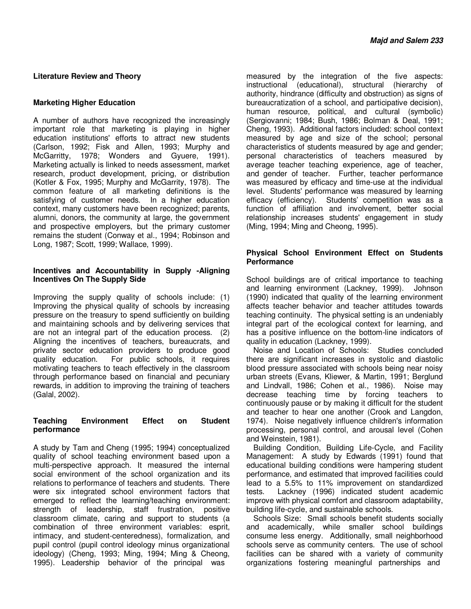# **Literature Review and Theory**

#### **Marketing Higher Education**

A number of authors have recognized the increasingly important role that marketing is playing in higher education institutions' efforts to attract new students (Carlson, 1992; Fisk and Allen, 1993; Murphy and McGarritty, 1978; Wonders and Gyuere, 1991). Marketing actually is linked to needs assessment, market research, product development, pricing, or distribution (Kotler & Fox, 1995; Murphy and McGarrity, 1978). The common feature of all marketing definitions is the satisfying of customer needs. In a higher education context, many customers have been recognized; parents, alumni, donors, the community at large, the government and prospective employers, but the primary customer remains the student (Conway et al., 1994; Robinson and Long, 1987; Scott, 1999; Wallace, 1999).

#### **Incentives and Accountability in Supply -Aligning Incentives On The Supply Side**

Improving the supply quality of schools include: (1) Improving the physical quality of schools by increasing pressure on the treasury to spend sufficiently on building and maintaining schools and by delivering services that are not an integral part of the education process. (2) Aligning the incentives of teachers, bureaucrats, and private sector education providers to produce good quality education. For public schools, it requires motivating teachers to teach effectively in the classroom through performance based on financial and pecuniary rewards, in addition to improving the training of teachers (Galal, 2002).

## **Teaching Environment Effect on Student performance**

A study by Tam and Cheng (1995; 1994) conceptualized quality of school teaching environment based upon a multi-perspective approach. It measured the internal social environment of the school organization and its relations to performance of teachers and students. There were six integrated school environment factors that emerged to reflect the learning/teaching environment: strength of leadership, staff frustration, positive classroom climate, caring and support to students (a combination of three environment variables: esprit, intimacy, and student-centeredness), formalization, and pupil control (pupil control ideology minus organizational ideology) (Cheng, 1993; Ming, 1994; Ming & Cheong, 1995). Leadership behavior of the principal was

measured by the integration of the five aspects: instructional (educational), structural (hierarchy of authority, hindrance (difficulty and obstruction) as signs of bureaucratization of a school, and participative decision), human resource, political, and cultural (symbolic) (Sergiovanni; 1984; Bush, 1986; Bolman & Deal, 1991; Cheng, 1993). Additional factors included: school context measured by age and size of the school; personal characteristics of students measured by age and gender; personal characteristics of teachers measured by average teacher teaching experience, age of teacher, and gender of teacher. Further, teacher performance was measured by efficacy and time-use at the individual level. Students' performance was measured by learning efficacy (efficiency). Students' competition was as a function of affiliation and involvement, better social relationship increases students' engagement in study (Ming, 1994; Ming and Cheong, 1995).

#### **Physical School Environment Effect on Students Performance**

School buildings are of critical importance to teaching and learning environment (Lackney, 1999). Johnson (1990) indicated that quality of the learning environment affects teacher behavior and teacher attitudes towards teaching continuity. The physical setting is an undeniably integral part of the ecological context for learning, and has a positive influence on the bottom-line indicators of quality in education (Lackney, 1999).

Noise and Location of Schools: Studies concluded there are significant increases in systolic and diastolic blood pressure associated with schools being near noisy urban streets (Evans, Kliewer, & Martin, 1991; Berglund and Lindvall, 1986; Cohen et al., 1986). Noise may decrease teaching time by forcing teachers to continuously pause or by making it difficult for the student and teacher to hear one another (Crook and Langdon, 1974). Noise negatively influence children's information processing, personal control, and arousal level (Cohen and Weinstein, 1981).

Building Condition, Building Life-Cycle, and Facility Management: A study by Edwards (1991) found that educational building conditions were hampering student performance, and estimated that improved facilities could lead to a 5.5% to 11% improvement on standardized tests. Lackney (1996) indicated student academic improve with physical comfort and classroom adaptability, building life-cycle, and sustainable schools.

Schools Size: Small schools benefit students socially and academically, while smaller school buildings consume less energy. Additionally, small neighborhood schools serve as community centers. The use of school facilities can be shared with a variety of community organizations fostering meaningful partnerships and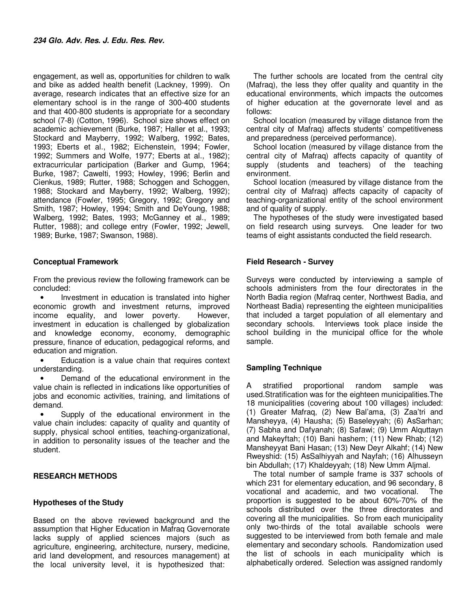engagement, as well as, opportunities for children to walk and bike as added health benefit (Lackney, 1999). On average, research indicates that an effective size for an elementary school is in the range of 300-400 students and that 400-800 students is appropriate for a secondary school (7-8) (Cotton, 1996). School size shows effect on academic achievement (Burke, 1987; Haller et al., 1993; Stockard and Mayberry, 1992; Walberg, 1992; Bates, 1993; Eberts et al., 1982; Eichenstein, 1994; Fowler, 1992; Summers and Wolfe, 1977; Eberts at al., 1982); extracurricular participation (Barker and Gump, 1964; Burke, 1987; Cawelti, 1993; Howley, 1996; Berlin and Cienkus, 1989; Rutter, 1988; Schoggen and Schoggen, 1988; Stockard and Mayberry, 1992; Walberg, 1992); attendance (Fowler, 1995; Gregory, 1992; Gregory and Smith, 1987; Howley, 1994; Smith and DeYoung, 1988; Walberg, 1992; Bates, 1993; McGanney et al., 1989; Rutter, 1988); and college entry (Fowler, 1992; Jewell, 1989; Burke, 1987; Swanson, 1988).

#### **Conceptual Framework**

From the previous review the following framework can be concluded:

• Investment in education is translated into higher economic growth and investment returns, improved income equality, and lower poverty. However, investment in education is challenged by globalization and knowledge economy, economy, demographic pressure, finance of education, pedagogical reforms, and education and migration.

• Education is a value chain that requires context understanding.

• Demand of the educational environment in the value chain is reflected in indications like opportunities of jobs and economic activities, training, and limitations of demand.

Supply of the educational environment in the value chain includes: capacity of quality and quantity of supply, physical school entities, teaching-organizational, in addition to personality issues of the teacher and the student.

#### **RESEARCH METHODS**

#### **Hypotheses of the Study**

Based on the above reviewed background and the assumption that Higher Education in Mafraq Governorate lacks supply of applied sciences majors (such as agriculture, engineering, architecture, nursery, medicine, arid land development, and resources management) at the local university level, it is hypothesized that:

The further schools are located from the central city (Mafraq), the less they offer quality and quantity in the educational environments, which impacts the outcomes of higher education at the governorate level and as follows:

School location (measured by village distance from the central city of Mafraq) affects students' competitiveness and preparedness (perceived performance).

School location (measured by village distance from the central city of Mafraq) affects capacity of quantity of supply (students and teachers) of the teaching environment.

School location (measured by village distance from the central city of Mafraq) affects capacity of capacity of teaching-organizational entity of the school environment and of quality of supply.

The hypotheses of the study were investigated based on field research using surveys. One leader for two teams of eight assistants conducted the field research.

## **Field Research - Survey**

Surveys were conducted by interviewing a sample of schools administers from the four directorates in the North Badia region (Mafraq center, Northwest Badia, and Northeast Badia) representing the eighteen municipalities that included a target population of all elementary and secondary schools. Interviews took place inside the school building in the municipal office for the whole sample.

#### **Sampling Technique**

A stratified proportional random sample was used.Stratification was for the eighteen municipalities.The 18 municipalities (covering about 100 villages) included: (1) Greater Mafraq, (2) New Bal'ama, (3) Zaa'tri and Mansheyya, (4) Hausha; (5) Baseleyyah; (6) AsSarhan; (7) Sabha and Dafyanah; (8) Safawi; (9) Umm Alquttayn and Makeyftah; (10) Bani hashem; (11) New Rhab; (12) Mansheyyat Bani Hasan; (13) New Deyr Alkahf; (14) New Rweyshid: (15) AsSalhiyyah and Nayfah; (16) Alhusseyn bin Abdullah; (17) Khaldeyyah; (18) New Umm Aljmal.

The total number of sample frame is 337 schools of which 231 for elementary education, and 96 secondary, 8 vocational and academic, and two vocational. The proportion is suggested to be about 60%-70% of the schools distributed over the three directorates and covering all the municipalities. So from each municipality only two-thirds of the total available schools were suggested to be interviewed from both female and male elementary and secondary schools. Randomization used the list of schools in each municipality which is alphabetically ordered. Selection was assigned randomly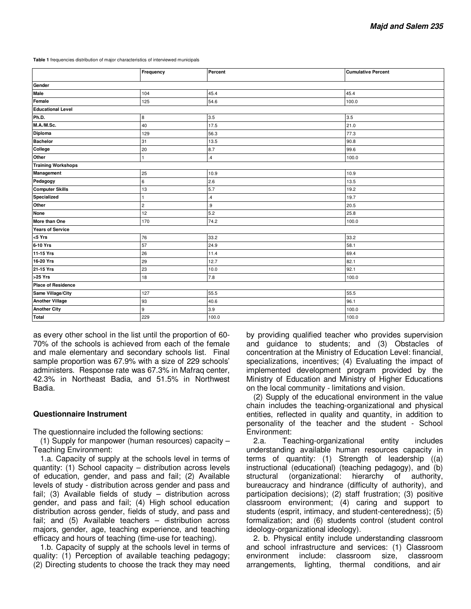**Table 1** frequencies distribution of major characteristics of interviewed municipals

|                           | Frequency      | Percent        | <b>Cumulative Percent</b> |  |  |  |
|---------------------------|----------------|----------------|---------------------------|--|--|--|
| Gender                    |                |                |                           |  |  |  |
| Male                      | 104            | 45.4           | 45.4                      |  |  |  |
| Female                    | 125            | 54.6           | 100.0                     |  |  |  |
| <b>Educational Level</b>  |                |                |                           |  |  |  |
| Ph.D.                     | $\bf{8}$       | 3.5            | 3.5                       |  |  |  |
| M.A./M.Sc.                | 40             | 17.5           | 21.0                      |  |  |  |
| Diploma                   | 129            | 56.3           | 77.3                      |  |  |  |
| <b>Bachelor</b>           | 31             | 13.5           | 90.8                      |  |  |  |
| College                   | 20             | 8.7            | 99.6                      |  |  |  |
| Other                     | 1              | $\overline{A}$ | 100.0                     |  |  |  |
| <b>Training Workshops</b> |                |                |                           |  |  |  |
| Management                | 25             | 10.9           | 10.9                      |  |  |  |
| Pedagogy                  | 6              | 2.6            | 13.5                      |  |  |  |
| <b>Computer Skills</b>    | 13             | 5.7            | 19.2                      |  |  |  |
| Specialized               |                | $\overline{a}$ | 19.7                      |  |  |  |
| Other                     | $\overline{c}$ | 9.             | 20.5                      |  |  |  |
| None                      | 12             | 5.2            | 25.8                      |  |  |  |
| More than One             | 170            | 74.2           | 100.0                     |  |  |  |
| <b>Years of Service</b>   |                |                |                           |  |  |  |
| <5 Yrs                    | 76             | 33.2           | 33.2                      |  |  |  |
| 6-10 Yrs                  | 57             | 24.9           | 58.1                      |  |  |  |
| 11-15 Yrs                 | 26             | 11.4           | 69.4                      |  |  |  |
| 16-20 Yrs                 | 29             | 12.7           | 82.1                      |  |  |  |
| 21-15 Yrs                 | 23             | 10.0           | 92.1                      |  |  |  |
| >25 Yrs                   | 18             | 7.8            | 100.0                     |  |  |  |
| <b>Place of Residence</b> |                |                |                           |  |  |  |
| Same Village/City         | 127            | 55.5           | 55.5                      |  |  |  |
| <b>Another Village</b>    | 93             | 40.6           | 96.1                      |  |  |  |
| <b>Another City</b>       | 9              | 3.9            | 100.0                     |  |  |  |
| Total                     | 229            | 100.0          | 100.0                     |  |  |  |

as every other school in the list until the proportion of 60- 70% of the schools is achieved from each of the female and male elementary and secondary schools list. Final sample proportion was 67.9% with a size of 229 schools' administers. Response rate was 67.3% in Mafraq center, 42.3% in Northeast Badia, and 51.5% in Northwest Badia.

#### **Questionnaire Instrument**

The questionnaire included the following sections:

(1) Supply for manpower (human resources) capacity – Teaching Environment:

1.a. Capacity of supply at the schools level in terms of quantity: (1) School capacity – distribution across levels of education, gender, and pass and fail; (2) Available levels of study - distribution across gender and pass and fail; (3) Available fields of study – distribution across gender, and pass and fail; (4) High school education distribution across gender, fields of study, and pass and fail; and (5) Available teachers – distribution across majors, gender, age, teaching experience, and teaching efficacy and hours of teaching (time-use for teaching).

1.b. Capacity of supply at the schools level in terms of quality: (1) Perception of available teaching pedagogy; (2) Directing students to choose the track they may need by providing qualified teacher who provides supervision and guidance to students; and (3) Obstacles of concentration at the Ministry of Education Level: financial, specializations, incentives; (4) Evaluating the impact of implemented development program provided by the Ministry of Education and Ministry of Higher Educations on the local community - limitations and vision.

(2) Supply of the educational environment in the value chain includes the teaching-organizational and physical entities, reflected in quality and quantity, in addition to personality of the teacher and the student - School Environment:

2.a. Teaching-organizational entity includes understanding available human resources capacity in terms of quantity: (1) Strength of leadership ((a) instructional (educational) (teaching pedagogy), and (b) structural (organizational: hierarchy of authority, bureaucracy and hindrance (difficulty of authority), and participation decisions); (2) staff frustration; (3) positive classroom environment; (4) caring and support to students (esprit, intimacy, and student-centeredness); (5) formalization; and (6) students control (student control ideology-organizational ideology).

2. b. Physical entity include understanding classroom and school infrastructure and services: (1) Classroom environment include: classroom size, classroom arrangements, lighting, thermal conditions, and air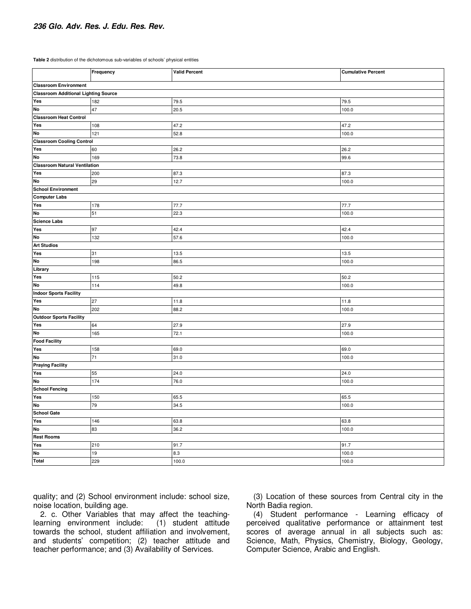#### **236 Glo. Adv. Res. J. Edu. Res. Rev.**

**Table 2** distribution of the dichotomous sub-variables of schools' physical entities

|                                      | Frequency                                   | <b>Valid Percent</b> | <b>Cumulative Percent</b> |  |  |  |  |  |  |
|--------------------------------------|---------------------------------------------|----------------------|---------------------------|--|--|--|--|--|--|
| <b>Classroom Environment</b>         |                                             |                      |                           |  |  |  |  |  |  |
|                                      | <b>Classroom Additional Lighting Source</b> |                      |                           |  |  |  |  |  |  |
| Yes                                  | 182                                         | 79.5                 | 79.5                      |  |  |  |  |  |  |
| No                                   | 47                                          | 20.5                 | 100.0                     |  |  |  |  |  |  |
| <b>Classroom Heat Control</b>        |                                             |                      |                           |  |  |  |  |  |  |
| Yes                                  | 108                                         | 47.2                 | 47.2                      |  |  |  |  |  |  |
| $\mathsf{No}$                        | 121                                         | 52.8                 | 100.0                     |  |  |  |  |  |  |
| <b>Classroom Cooling Control</b>     |                                             |                      |                           |  |  |  |  |  |  |
| Yes                                  | 60                                          | 26.2                 | 26.2                      |  |  |  |  |  |  |
| No                                   | 169                                         | 73.8                 | 99.6                      |  |  |  |  |  |  |
| <b>Classroom Natural Ventilation</b> |                                             |                      |                           |  |  |  |  |  |  |
| Yes                                  | 200                                         | 87.3                 | 87.3                      |  |  |  |  |  |  |
| No                                   | 29                                          | 12.7                 | 100.0                     |  |  |  |  |  |  |
| <b>School Environment</b>            |                                             |                      |                           |  |  |  |  |  |  |
| <b>Computer Labs</b>                 |                                             |                      |                           |  |  |  |  |  |  |
| Yes                                  | 178                                         | 77.7                 | 77.7                      |  |  |  |  |  |  |
| No                                   | 51                                          | 22.3                 | 100.0                     |  |  |  |  |  |  |
| <b>Science Labs</b>                  |                                             |                      |                           |  |  |  |  |  |  |
| Yes                                  | 97                                          | 42.4                 | 42.4                      |  |  |  |  |  |  |
| No                                   | 132                                         | 57.6                 | 100.0                     |  |  |  |  |  |  |
| <b>Art Studios</b>                   |                                             |                      |                           |  |  |  |  |  |  |
| Yes                                  | 31                                          | 13.5                 | 13.5                      |  |  |  |  |  |  |
| No                                   | 198                                         | 86.5                 | 100.0                     |  |  |  |  |  |  |
| Library                              |                                             |                      |                           |  |  |  |  |  |  |
| Yes                                  | 115                                         | 50.2                 | 50.2                      |  |  |  |  |  |  |
| No                                   | 114                                         | 49.8                 | 100.0                     |  |  |  |  |  |  |
| <b>Indoor Sports Facility</b>        |                                             |                      |                           |  |  |  |  |  |  |
| Yes                                  | 27                                          | 11.8                 | 11.8                      |  |  |  |  |  |  |
| No                                   | 202                                         | 88.2                 | 100.0                     |  |  |  |  |  |  |
| <b>Outdoor Sports Facility</b>       |                                             |                      |                           |  |  |  |  |  |  |
| Yes                                  | 64                                          | 27.9                 | 27.9                      |  |  |  |  |  |  |
| No                                   | 165                                         | 72.1                 | 100.0                     |  |  |  |  |  |  |
| <b>Food Facility</b>                 |                                             |                      |                           |  |  |  |  |  |  |
| Yes                                  | 158                                         | 69.0                 | 69.0                      |  |  |  |  |  |  |
| No                                   | $71\,$                                      | 31.0                 | 100.0                     |  |  |  |  |  |  |
| <b>Praying Facility</b>              |                                             |                      |                           |  |  |  |  |  |  |
| Yes                                  | 55                                          | 24.0                 | 24.0                      |  |  |  |  |  |  |
| No                                   | 174                                         | 76.0                 | 100.0                     |  |  |  |  |  |  |
| <b>School Fencing</b>                |                                             |                      |                           |  |  |  |  |  |  |
| Yes                                  | 150                                         | 65.5                 | 65.5                      |  |  |  |  |  |  |
| No                                   | 79                                          | 34.5                 | 100.0                     |  |  |  |  |  |  |
| <b>School Gate</b>                   |                                             |                      |                           |  |  |  |  |  |  |
| Yes                                  | 146                                         | 63.8                 | 63.8                      |  |  |  |  |  |  |
| $\mathop{\mathsf{No}}$               | 83                                          | 36.2                 | 100.0                     |  |  |  |  |  |  |
| <b>Rest Rooms</b>                    |                                             |                      |                           |  |  |  |  |  |  |
| Yes                                  | 210                                         | 91.7                 | 91.7                      |  |  |  |  |  |  |
| No                                   | 19                                          | 8.3                  | 100.0                     |  |  |  |  |  |  |
| <b>Total</b>                         | 229                                         | 100.0                | 100.0                     |  |  |  |  |  |  |

quality; and (2) School environment include: school size, noise location, building age.

2. c. Other Variables that may affect the teachinglearning environment include: (1) student attitude towards the school, student affiliation and involvement, and students' competition; (2) teacher attitude and teacher performance; and (3) Availability of Services.

(3) Location of these sources from Central city in the North Badia region.

(4) Student performance - Learning efficacy of perceived qualitative performance or attainment test scores of average annual in all subjects such as: Science, Math, Physics, Chemistry, Biology, Geology, Computer Science, Arabic and English.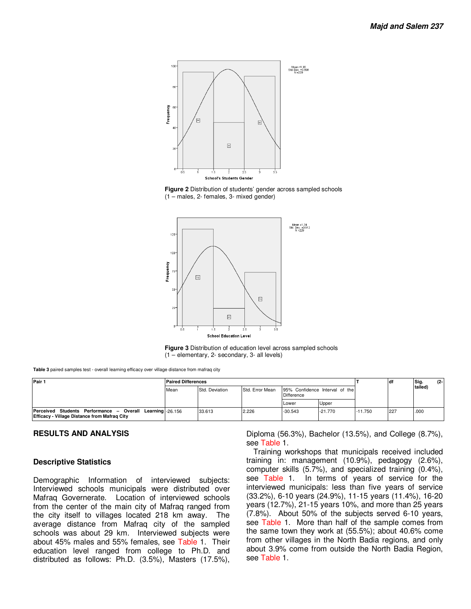

**Figure 2** Distribution of students' gender across sampled schools (1 – males, 2- females, 3- mixed gender)





**Table 3** paired samples test - overall learning efficacy over village distance from mafraq city

| Pair 1                                                                                                           | <b>Paired Differences</b> |                |                                                                 |           |           | l di      | Sig. | (2-     |  |
|------------------------------------------------------------------------------------------------------------------|---------------------------|----------------|-----------------------------------------------------------------|-----------|-----------|-----------|------|---------|--|
|                                                                                                                  | Mean                      | Std. Deviation | Std. Error Mean<br>95% Confidence Interval of the<br>Difference |           |           |           |      | tailed) |  |
|                                                                                                                  |                           |                |                                                                 | Lower     | Upper     |           |      |         |  |
| Perceived Students Performance - Overall Learning -26.156<br><b>Efficacy - Village Distance from Mafrag City</b> |                           | 33.613         | 2.226                                                           | $-30.543$ | $-21.770$ | $-11.750$ | 227  | .000    |  |

#### **RESULTS AND ANALYSIS**

#### **Descriptive Statistics**

Demographic Information of interviewed subjects: Interviewed schools municipals were distributed over Mafraq Governerate. Location of interviewed schools from the center of the main city of Mafraq ranged from the city itself to villages located 218 km away. The average distance from Mafraq city of the sampled schools was about 29 km. Interviewed subjects were about 45% males and 55% females, see Table 1. Their education level ranged from college to Ph.D. and distributed as follows: Ph.D. (3.5%), Masters (17.5%), Diploma (56.3%), Bachelor (13.5%), and College (8.7%), see Table 1.

Training workshops that municipals received included training in: management (10.9%), pedagogy (2.6%), computer skills (5.7%), and specialized training (0.4%), see Table 1. In terms of years of service for the interviewed municipals: less than five years of service (33.2%), 6-10 years (24.9%), 11-15 years (11.4%), 16-20 years (12.7%), 21-15 years 10%, and more than 25 years (7.8%). About 50% of the subjects served 6-10 years, see Table 1. More than half of the sample comes from the same town they work at (55.5%); about 40.6% come from other villages in the North Badia regions, and only about 3.9% come from outside the North Badia Region, see Table 1.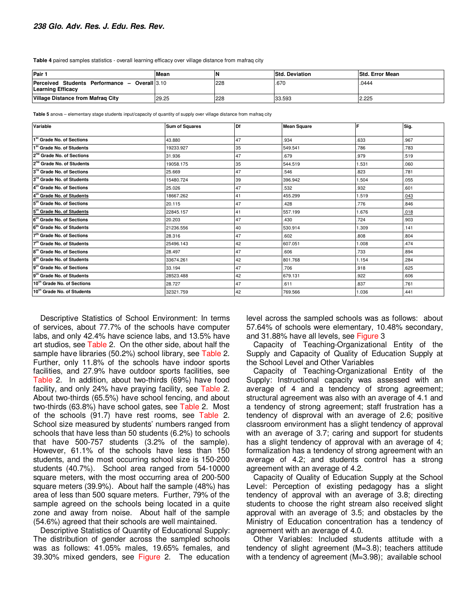#### **238 Glo. Adv. Res. J. Edu. Res. Rev.**

**Table 4** paired samples statistics - overall learning efficacy over village distance from mafraq city

| <b>Pair</b>                                                                        | Mean  | IN  | <b>Std. Deviation</b> | <b>Std. Error Mean</b> |
|------------------------------------------------------------------------------------|-------|-----|-----------------------|------------------------|
| Students<br>Overall 3.10<br><b>Perceived</b><br>Performance -<br>Learning Efficacy |       | 228 | .670                  | .0444                  |
| Village Distance from Mafrag City                                                  | 29.25 | 228 | 33.593                | 2.225                  |

**Table 5** anova – elementary stage students input/capacity of quantity of supply over village distance from mafraq city

| Variable                               | <b>Sum of Squares</b> | Df | <b>Mean Square</b> | F     | Sig. |
|----------------------------------------|-----------------------|----|--------------------|-------|------|
| 1 <sup>st</sup> Grade No. of Sections  | 43.880                | 47 | .934               | .633  | .967 |
| 1 <sup>st</sup> Grade No. of Students  | 19233.927             | 35 | 549.541            | .786  | .783 |
| 2 <sup>nd</sup> Grade No. of Sections  | 31.936                | 47 | .679               | .979  | .519 |
| 2 <sup>nd</sup> Grade No. of Students  | 19058.175             | 35 | 544.519            | 1.531 | .060 |
| 3 <sup>rd</sup> Grade No. of Sections  | 25.669                | 47 | .546               | .823  | .781 |
| 3r <sup>a</sup> Grade No. of Students  | 15480.724             | 39 | 396.942            | 1.504 | .055 |
| 4 <sup>th</sup> Grade No. of Sections  | 25.026                | 47 | .532               | .932  | .601 |
| 4 <sup>th</sup> Grade No. of Students  | 18667.262             | 41 | 455.299            | 1.519 | .043 |
| 5 <sup>th</sup> Grade No. of Sections  | 20.115                | 47 | .428               | .776  | .846 |
| 5 <sup>th</sup> Grade No. of Students  | 22845.157             | 41 | 557.199            | 1.676 | .018 |
| 6 <sup>th</sup> Grade No. of Sections  | 20.203                | 47 | .430               | .724  | .903 |
| 6 <sup>th</sup> Grade No. of Students  | 21236.556             | 40 | 530.914            | 1.309 | .141 |
| 7 <sup>th</sup> Grade No. of Sections  | 28.316                | 47 | .602               | .808  | .804 |
| 7 <sup>th</sup> Grade No. of Students  | 25496.143             | 42 | 607.051            | 1.008 | .474 |
| 8 <sup>th</sup> Grade No. of Sections  | 28.497                | 47 | .606               | .733  | .894 |
| 8 <sup>th</sup> Grade No. of Students  | 33674.261             | 42 | 801.768            | 1.154 | .284 |
| 9 <sup>th</sup> Grade No. of Sections  | 33.194                | 47 | .706               | .918  | .625 |
| 9th Grade No. of Students              | 28523.488             | 42 | 679.131            | .922  | .606 |
| 10 <sup>th</sup> Grade No. of Sections | 28.727                | 47 | .611               | .837  | .761 |
| 10 <sup>th</sup> Grade No. of Students | 32321.759             | 42 | 769.566            | 1.036 | .441 |

Descriptive Statistics of School Environment: In terms of services, about 77.7% of the schools have computer labs, and only 42.4% have science labs, and 13.5% have art studios, see Table 2. On the other side, about half the sample have libraries (50.2%) school library, see Table 2. Further, only 11.8% of the schools have indoor sports facilities, and 27.9% have outdoor sports facilities, see Table 2. In addition, about two-thirds (69%) have food facility, and only 24% have praying facility, see Table 2. About two-thirds (65.5%) have school fencing, and about two-thirds (63.8%) have school gates, see Table 2. Most of the schools (91.7) have rest rooms, see Table 2. School size measured by students' numbers ranged from schools that have less than 50 students (6.2%) to schools that have 500-757 students (3.2% of the sample). However, 61.1% of the schools have less than 150 students, and the most occurring school size is 150-200 students (40.7%). School area ranged from 54-10000 square meters, with the most occurring area of 200-500 square meters (39.9%). About half the sample (48%) has area of less than 500 square meters. Further, 79% of the sample agreed on the schools being located in a quite zone and away from noise. About half of the sample (54.6%) agreed that their schools are well maintained.

Descriptive Statistics of Quantity of Educational Supply: The distribution of gender across the sampled schools was as follows: 41.05% males, 19.65% females, and 39.30% mixed genders, see Figure 2. The education

level across the sampled schools was as follows: about 57.64% of schools were elementary, 10.48% secondary, and 31.88% have all levels, see Figure 3

Capacity of Teaching-Organizational Entity of the Supply and Capacity of Quality of Education Supply at the School Level and Other Variables

Capacity of Teaching-Organizational Entity of the Supply: Instructional capacity was assessed with an average of 4 and a tendency of strong agreement; structural agreement was also with an average of 4.1 and a tendency of strong agreement; staff frustration has a tendency of disproval with an average of 2.6; positive classroom environment has a slight tendency of approval with an average of 3.7; caring and support for students has a slight tendency of approval with an average of 4; formalization has a tendency of strong agreement with an average of 4.2; and students control has a strong agreement with an average of 4.2.

Capacity of Quality of Education Supply at the School Level: Perception of existing pedagogy has a slight tendency of approval with an average of 3.8; directing students to choose the right stream also received slight approval with an average of 3.5; and obstacles by the Ministry of Education concentration has a tendency of agreement with an average of 4.0.

Other Variables: Included students attitude with a tendency of slight agreement (M=3.8); teachers attitude with a tendency of agreement (M=3.98); available school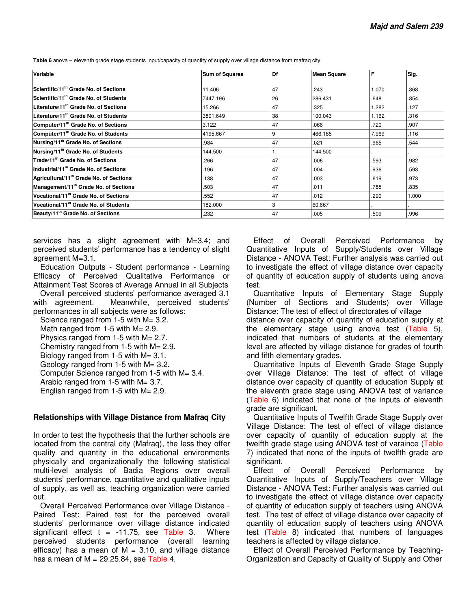**Table 6** anova – eleventh grade stage students input/capacity of quantity of supply over village distance from mafraq city

| Variable                                            | <b>Sum of Squares</b> | Df | <b>Mean Square</b> | F     | Sig.  |
|-----------------------------------------------------|-----------------------|----|--------------------|-------|-------|
| Scientific/11 <sup>th</sup> Grade No. of Sections   | 11.406                | 47 | .243               | 1.070 | .368  |
|                                                     |                       |    |                    |       |       |
| Scientific/11 <sup>th</sup> Grade No. of Students   | 7447.196              | 26 | 286.431            | .648  | .854  |
| Literature/11 <sup>th</sup> Grade No. of Sections   | 15.266                | 47 | .325               | 1.282 | .127  |
| Literature/11 <sup>th</sup> Grade No. of Students   | 3801.649              | 38 | 100.043            | 1.162 | .316  |
| Computer/11 <sup>th</sup> Grade No. of Sections     | 3.122                 | 47 | .066               | .720  | .907  |
| Computer/11 <sup>th</sup> Grade No. of Students     | 4195.667              | 9  | 466.185            | 7.969 | .116  |
| Nursing/11 <sup>th</sup> Grade No. of Sections      | .984                  | 47 | .021               | .965  | .544  |
| Nursing/11 <sup>th</sup> Grade No. of Students      | 144.500               |    | 144.500            |       |       |
| Trade/11 <sup>th</sup> Grade No. of Sections        | .266                  | 47 | .006               | .593  | .982  |
| Industrial/11 <sup>th</sup> Grade No. of Sections   | .196                  | 47 | .004               | .936  | .593  |
| Agricultural/11 <sup>th</sup> Grade No. of Sections | .138                  | 47 | .003               | .619  | .973  |
| Management/11 <sup>th</sup> Grade No. of Sections   | .503                  | 47 | .011               | .785  | .835  |
| Vocational/11 <sup>th</sup> Grade No. of Sections   | .552                  | 47 | .012               | .290  | 1.000 |
| Vocational/11 <sup>th</sup> Grade No. of Students   | 182.000               | 3  | 60.667             |       |       |
| Beauty/11 <sup>th</sup> Grade No. of Sections       | .232                  | 47 | .005               | .509  | .996  |

services has a slight agreement with M=3.4; and perceived students' performance has a tendency of slight agreement M=3.1.

Education Outputs - Student performance - Learning Efficacy of Perceived Qualitative Performance or Attainment Test Scores of Average Annual in all Subjects

Overall perceived students' performance averaged 3.1 with agreement. Meanwhile, perceived students' performances in all subjects were as follows:

Science ranged from 1-5 with M= 3.2.

Math ranged from 1-5 with  $M = 2.9$ .

Physics ranged from 1-5 with M= 2.7.

Chemistry ranged from  $1-5$  with  $M = 2.9$ . Biology ranged from 1-5 with M= 3.1.

Geology ranged from 1-5 with M= 3.2.

Computer Science ranged from 1-5 with M= 3.4.

Arabic ranged from 1-5 with  $M = 3.7$ .

English ranged from 1-5 with  $M = 2.9$ .

# **Relationships with Village Distance from Mafraq City**

In order to test the hypothesis that the further schools are located from the central city (Mafraq), the less they offer quality and quantity in the educational environments physically and organizationally the following statistical multi-level analysis of Badia Regions over overall students' performance, quantitative and qualitative inputs of supply, as well as, teaching organization were carried out.

Overall Perceived Performance over Village Distance - Paired Test: Paired test for the perceived overall students' performance over village distance indicated significant effect  $t = -11.75$ , see Table 3. Where perceived students performance (overall learning efficacy) has a mean of  $M = 3.10$ , and village distance has a mean of  $M = 29.25.84$ , see Table 4.

Effect of Overall Perceived Performance by Quantitative Inputs of Supply/Students over Village Distance - ANOVA Test: Further analysis was carried out to investigate the effect of village distance over capacity of quantity of education supply of students using anova test.

Quantitative Inputs of Elementary Stage Supply (Number of Sections and Students) over Village Distance: The test of effect of directorates of village

distance over capacity of quantity of education supply at the elementary stage using anova test (Table 5), indicated that numbers of students at the elementary level are affected by village distance for grades of fourth and fifth elementary grades.

Quantitative Inputs of Eleventh Grade Stage Supply over Village Distance: The test of effect of village distance over capacity of quantity of education Supply at the eleventh grade stage using ANOVA test of variance (Table 6) indicated that none of the inputs of eleventh grade are significant.

Quantitative Inputs of Twelfth Grade Stage Supply over Village Distance: The test of effect of village distance over capacity of quantity of education supply at the twelfth grade stage using ANOVA test of varaince (Table 7) indicated that none of the inputs of twelfth grade are significant.

Effect of Overall Perceived Performance by Quantitative Inputs of Supply/Teachers over Village Distance - ANOVA Test: Further analysis was carried out to investigate the effect of village distance over capacity of quantity of education supply of teachers using ANOVA test. The test of effect of village distance over capacity of quantity of education supply of teachers using ANOVA test (Table 8) indicated that numbers of languages teachers is affected by village distance.

Effect of Overall Perceived Performance by Teaching-Organization and Capacity of Quality of Supply and Other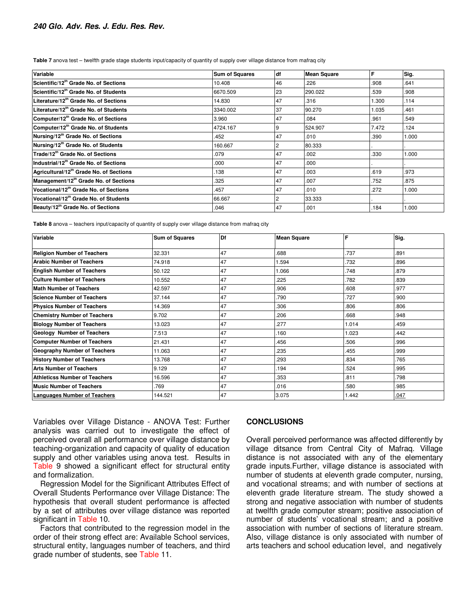**Table 7** anova test – twelfth grade stage students input/capacity of quantity of supply over village distance from mafraq city

| Variable                                            | <b>Sum of Squares</b> | df | <b>Mean Square</b> | F     | Sig.  |
|-----------------------------------------------------|-----------------------|----|--------------------|-------|-------|
| Scientific/12 <sup>th</sup> Grade No. of Sections   | 10.408                | 46 | .226               | .908  | .641  |
| Scientific/12 <sup>th</sup> Grade No. of Students   | 6670.509              | 23 | 290.022            | .539  | .908  |
| Literature/12 <sup>th</sup> Grade No. of Sections   | 14.830                | 47 | .316               | 1.300 | .114  |
| Literature/12 <sup>th</sup> Grade No. of Students   | 3340.002              | 37 | 90.270             | 1.035 | .461  |
| Computer/12 <sup>th</sup> Grade No. of Sections     | 3.960                 | 47 | .084               | .961  | .549  |
| Computer/12th Grade No. of Students                 | 4724.167              | 9  | 524.907            | 7.472 | .124  |
| Nursing/12 <sup>th</sup> Grade No. of Sections      | .452                  | 47 | .010               | .390  | 1.000 |
| Nursing/12 <sup>th</sup> Grade No. of Students      | 160.667               | 2  | 80.333             |       |       |
| Trade/12 <sup>th</sup> Grade No. of Sections        | .079                  | 47 | .002               | .330  | 1.000 |
| Industrial/12 <sup>th</sup> Grade No. of Sections   | .000                  | 47 | .000               |       |       |
| Agricultural/12 <sup>th</sup> Grade No. of Sections | .138                  | 47 | .003               | .619  | .973  |
| Management/12th Grade No. of Sections               | .325                  | 47 | .007               | .752  | .875  |
| Vocational/12 <sup>th</sup> Grade No. of Sections   | .457                  | 47 | .010               | .272  | 1.000 |
| Vocational/12 <sup>th</sup> Grade No. of Students   | 66.667                | 2  | 33.333             |       |       |
| Beauty/12th Grade No. of Sections                   | .046                  | 47 | .001               | .184  | 1.000 |

**Table 8** anova – teachers input/capacity of quantity of supply over village distance from mafraq city

| Variable                             | <b>Sum of Squares</b> | Df | <b>Mean Square</b> | F     | Sig. |
|--------------------------------------|-----------------------|----|--------------------|-------|------|
| <b>Religion Number of Teachers</b>   | 32.331                | 47 | .688               | .737  | .891 |
| <b>Arabic Number of Teachers</b>     | 74.918                | 47 | 1.594              | .732  | .896 |
| <b>English Number of Teachers</b>    | 50.122                | 47 | 1.066              | .748  | .879 |
| <b>Culture Number of Teachers</b>    | 10.552                | 47 | .225               | .782  | .839 |
| <b>Math Number of Teachers</b>       | 42.597                | 47 | .906               | .608  | .977 |
| <b>Science Number of Teachers</b>    | 37.144                | 47 | .790               | .727  | .900 |
| <b>Physics Number of Teachers</b>    | 14.369                | 47 | .306               | .806  | .806 |
| <b>Chemistry Number of Teachers</b>  | 9.702                 | 47 | .206               | .668  | .948 |
| <b>Biology Number of Teachers</b>    | 13.023                | 47 | .277               | 1.014 | .459 |
| <b>Geology Number of Teachers</b>    | 7.513                 | 47 | .160               | 1.023 | .442 |
| <b>Computer Number of Teachers</b>   | 21.431                | 47 | .456               | .506  | .996 |
| <b>Geography Number of Teachers</b>  | 11.063                | 47 | .235               | .455  | .999 |
| <b>History Number of Teachers</b>    | 13.768                | 47 | .293               | .834  | .765 |
| <b>Arts Number of Teachers</b>       | 9.129                 | 47 | 194                | .524  | .995 |
| <b>Athleticss Number of Teachers</b> | 16.596                | 47 | .353               | .811  | .798 |
| Music Number of Teachers             | .769                  | 47 | .016               | .580  | .985 |
| <b>Languages Number of Teachers</b>  | 144.521               | 47 | 3.075              | 1.442 | .047 |

Variables over Village Distance - ANOVA Test: Further analysis was carried out to investigate the effect of perceived overall all performance over village distance by teaching-organization and capacity of quality of education supply and other variables using anova test. Results in Table 9 showed a significant effect for structural entity and formalization.

Regression Model for the Significant Attributes Effect of Overall Students Performance over Village Distance: The hypothesis that overall student performance is affected by a set of attributes over village distance was reported significant in Table 10.

Factors that contributed to the regression model in the order of their strong effect are: Available School services, structural entity, languages number of teachers, and third grade number of students, see Table 11.

#### **CONCLUSIONS**

Overall perceived performance was affected differently by village ditsance from Central City of Mafraq. Village distance is not associated with any of the elementary grade inputs.Further, village distance is associated with number of students at eleventh grade computer, nursing, and vocational streams; and with number of sections at eleventh grade literature stream. The study showed a strong and negative association with number of students at twelfth grade computer stream; positive association of number of students' vocational stream; and a positive association with number of sections of literature stream. Also, village distance is only associated with number of arts teachers and school education level, and negatively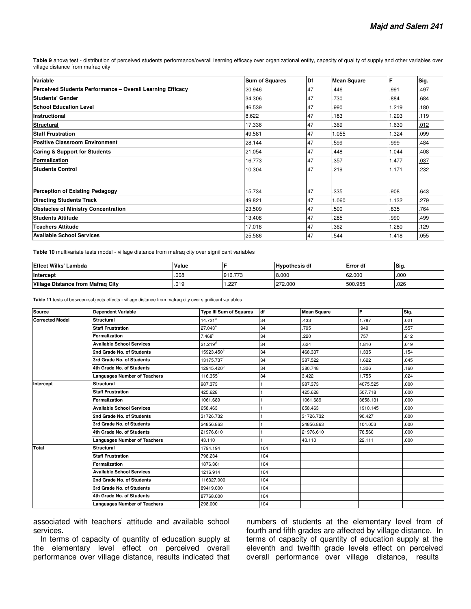Table 9 anova test - distribution of perceived students performance/overall learning efficacy over organizational entity, capacity of quality of supply and other variables over village distance from mafraq city

| Variable                                                   | <b>Sum of Squares</b> | Df | <b>Mean Square</b> | F     | Sig. |
|------------------------------------------------------------|-----------------------|----|--------------------|-------|------|
| Perceived Students Performance - Overall Learning Efficacy | 20.946                | 47 | .446               | .991  | .497 |
| <b>Students' Gender</b>                                    | 34.306                | 47 | .730               | .884  | .684 |
| <b>School Education Level</b>                              | 46.539                | 47 | .990               | 1.219 | .180 |
| Instructional                                              | 8.622                 | 47 | .183               | 1.293 | .119 |
| <b>Structural</b>                                          | 17.336                | 47 | .369               | 1.630 | .012 |
| <b>Staff Frustration</b>                                   | 49.581                | 47 | 1.055              | 1.324 | .099 |
| Positive Classroom Environment                             | 28.144                | 47 | .599               | .999  | .484 |
| <b>Caring &amp; Support for Students</b>                   | 21.054                | 47 | .448               | 1.044 | .408 |
| Formalization                                              | 16.773                | 47 | .357               | 1.477 | .037 |
| <b>Students Control</b>                                    | 10.304                | 47 | .219               | 1.171 | 232  |
|                                                            |                       |    |                    |       |      |
| Perception of Existing Pedagogy                            | 15.734                | 47 | .335               | .908  | .643 |
| <b>Directing Students Track</b>                            | 49.821                | 47 | 1.060              | 1.132 | .279 |
| <b>Obstacles of Ministry Concentration</b>                 | 23.509                | 47 | .500               | .835  | .764 |
| Students Attitude                                          | 13.408                | 47 | .285               | .990  | 499  |
| Teachers Attitude                                          | 17.018                | 47 | .362               | .280  | .129 |
| Available School Services                                  | 25.586                | 47 | .544               | 1.418 | .055 |

**Table 10** multivariate tests model - village distance from mafraq city over significant variables

| <b>Effect</b><br>: Wilks<br>Lambda       | Value |                        | <b>Hypothesis df</b> | Error df | Sig. |
|------------------------------------------|-------|------------------------|----------------------|----------|------|
| Intercept                                | .008  | 77c<br>101 G<br>10.11c | 8.000                | 62,000   | .000 |
| <b>Village Distance from Mafrag City</b> | .019  | .227                   | 272.000              | 500.955  | .026 |

**Table 11** tests of between-subjects effects - village distance from mafraq city over significant variables

| Source                 | <b>Dependent Variable</b>           | <b>Type III Sum of Squares</b> | df  | <b>Mean Square</b> | F        | Sig. |
|------------------------|-------------------------------------|--------------------------------|-----|--------------------|----------|------|
| <b>Corrected Model</b> | Structural                          | 14.721 <sup>a</sup>            | 34  | .433               | 1.787    | .021 |
|                        | <b>Staff Frustration</b>            | 27.043 <sup>b</sup>            | 34  | .795               | .949     | .557 |
|                        | Formalization                       | 7.468 <sup>c</sup>             | 34  | .220               | .757     | .812 |
|                        | <b>Available School Services</b>    | 21.219 <sup>d</sup>            | 34  | .624               | 1.810    | .019 |
|                        | 2nd Grade No. of Students           | 15923.450 <sup>e</sup>         | 34  | 468.337            | 1.335    | .154 |
|                        | 3rd Grade No. of Students           | 13175.737                      | 34  | 387.522            | 1.622    | .045 |
|                        | 4th Grade No. of Students           | 12945.420 <sup>9</sup>         | 34  | 380.748            | 1.326    | .160 |
|                        | <b>Languages Number of Teachers</b> | $116.355^{n}$                  | 34  | 3.422              | 1.755    | .024 |
| Intercept              | Structural                          | 987.373                        |     | 987.373            | 4075.525 | .000 |
|                        | <b>Staff Frustration</b>            | 425.628                        |     | 425.628            | 507.718  | .000 |
|                        | Formalization                       | 1061.689                       |     | 1061.689           | 3658.131 | .000 |
|                        | <b>Available School Services</b>    | 658.463                        |     | 658.463            | 1910.145 | .000 |
|                        | 2nd Grade No. of Students           | 31726.732                      |     | 31726.732          | 90.427   | .000 |
|                        | 3rd Grade No. of Students           | 24856.863                      |     | 24856.863          | 104.053  | .000 |
|                        | 4th Grade No. of Students           | 21976.610                      |     | 21976.610          | 76.560   | .000 |
|                        | <b>Languages Number of Teachers</b> | 43.110                         |     | 43.110             | 22.111   | .000 |
| <b>Total</b>           | <b>Structural</b>                   | 1794.194                       | 104 |                    |          |      |
|                        | <b>Staff Frustration</b>            | 798.234                        | 104 |                    |          |      |
|                        | Formalization                       | 1876.361                       | 104 |                    |          |      |
|                        | <b>Available School Services</b>    | 1216.914                       | 104 |                    |          |      |
|                        | 2nd Grade No. of Students           | 116327.000                     | 104 |                    |          |      |
|                        | 3rd Grade No. of Students           | 89419.000                      | 104 |                    |          |      |
|                        | 4th Grade No. of Students           | 87768.000                      | 104 |                    |          |      |
|                        | <b>Languages Number of Teachers</b> | 298.000                        | 104 |                    |          |      |

associated with teachers' attitude and available school services.

In terms of capacity of quantity of education supply at the elementary level effect on perceived overall performance over village distance, results indicated that numbers of students at the elementary level from of fourth and fifth grades are affected by village distance. In terms of capacity of quantity of education supply at the eleventh and twelfth grade levels effect on perceived overall performance over village distance, results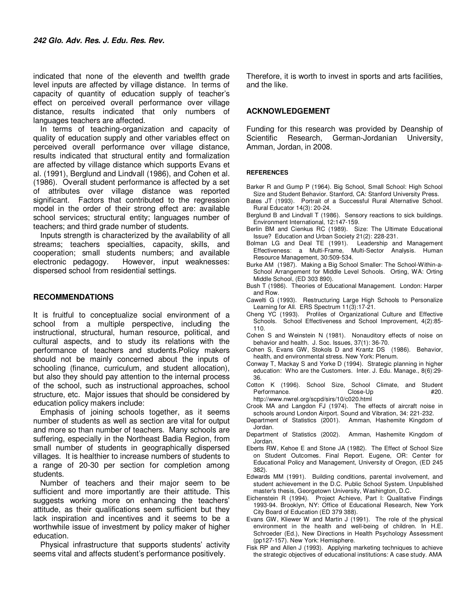indicated that none of the eleventh and twelfth grade level inputs are affected by village distance. In terms of capacity of quantity of education supply of teacher's effect on perceived overall performance over village distance, results indicated that only numbers of languages teachers are affected.

In terms of teaching-organization and capacity of quality of education supply and other variables effect on perceived overall performance over village distance, results indicated that structural entity and formalization are affected by village distance which supports Evans et al. (1991), Berglund and Lindvall (1986), and Cohen et al. (1986). Overall student performance is affected by a set of attributes over village distance was reported significant. Factors that contributed to the regression model in the order of their strong effect are: available school services; structural entity; languages number of teachers; and third grade number of students.

Inputs strength is characterized by the availability of all streams; teachers specialties, capacity, skills, and cooperation; small students numbers; and available electronic pedagogy. However, input weaknesses: dispersed school from residential settings.

#### **RECOMMENDATIONS**

It is fruitful to conceptualize social environment of a school from a multiple perspective, including the instructional, structural, human resource, political, and cultural aspects, and to study its relations with the performance of teachers and students.Policy makers should not be mainly concerned about the inputs of schooling (finance, curriculum, and student allocation), but also they should pay attention to the internal process of the school, such as instructional approaches, school structure, etc. Major issues that should be considered by education policy makers include:

Emphasis of joining schools together, as it seems number of students as well as section are vital for output and more so than number of teachers. Many schools are suffering, especially in the Northeast Badia Region, from small number of students in geographically dispersed villages. It is healthier to increase numbers of students to a range of 20-30 per section for completion among students.

Number of teachers and their major seem to be sufficient and more importantly are their attitude. This suggests working more on enhancing the teachers' attitude, as their qualifications seem sufficient but they lack inspiration and incentives and it seems to be a worthwhile issue of investment by policy maker of higher education.

Physical infrastructure that supports students' activity seems vital and affects student's performance positively.

Therefore, it is worth to invest in sports and arts facilities, and the like.

## **ACKNOWLEDGEMENT**

Funding for this research was provided by Deanship of Scientific Research, German-Jordanian University, Amman, Jordan, in 2008.

#### **REFERENCES**

- Barker R and Gump P (1964). Big School, Small School: High School Size and Student Behavior. Stanford, CA: Stanford University Press.
- Bates JT (1993). Portrait of a Successful Rural Alternative School. Rural Educator 14(3): 20-24.
- Berglund B and Lindvall T (1986). Sensory reactions to sick buildings. Environment International, 12:147-159.
- Berlin BM and Cienkus RC (1989). Size: The Ultimate Educational Issue? Education and Urban Society 21(2): 228-231.
- Bolman LG and Deal TE (1991). Leadership and Management Effectiveness: a Multi-Frame, Multi-Sector Analysis. Human Resource Management, 30:509-534.
- Burke AM (1987). Making a Big School Smaller: The School-Within-a-School Arrangement for Middle Level Schools. Orting, WA: Orting Middle School, (ED 303 890).
- Bush T (1986). Theories of Educational Management. London: Harper and Row.
- Cawelti G (1993). Restructuring Large High Schools to Personalize Learning for All. ERS Spectrum 11(3):17-21.
- Cheng YC (1993). Profiles of Organizational Culture and Effective Schools. School Effectiveness and School Improvement, 4(2):85- 110.
- Cohen S and Weinstein N (1981). Nonauditory effects of noise on behavior and health. J. Soc. Issues, 37(1): 36-70.
- Cohen S, Evans GW, Stokols D and Krantz DS (1986). Behavior, health, and environmental stress. New York: Plenum.
- Conway T, Mackay S and Yorke D (1994). Strategic planning in higher education: Who are the Customers. Inter. J. Edu. Manage., 8(6):29- 36.
- Cotton K (1996). School Size, School Climate, and Student Performance. Close-Up #20. http://www.nwrel.org/scpd/sirs/10/c020.html
- Crook MA and Langdon FJ (1974). The effects of aircraft noise in schools around London Airport. Sound and Vibration, 34: 221-232.
- Department of Statistics (2001). Amman, Hashemite Kingdom of Jordan.
- Department of Statistics (2002). Amman, Hashemite Kingdom of Jordan.
- Eberts RW, Kehoe E and Stone JA (1982). The Effect of School Size on Student Outcomes. Final Report. Eugene, OR: Center for Educational Policy and Management, University of Oregon, (ED 245 382).
- Edwards MM (1991). Building conditions, parental involvement, and student achievement in the D.C. Public School System. Unpublished master's thesis, Georgetown University, Washington, D.C.
- Eichenstein R (1994). Project Achieve, Part I: Qualitative Findings 1993-94. Brooklyn, NY: Office of Educational Research, New York City Board of Education (ED 379 388).
- Evans GW, Kliewer W and Martin J (1991). The role of the physical environment in the health and well-being of children. In H.E. Schroeder (Ed.), New Directions in Health Psychology Assessment (pp127-157). New York: Hemisphere.
- Fisk RP and Allen J (1993). Applying marketing techniques to achieve the strategic objectives of educational institutions: A case study. AMA